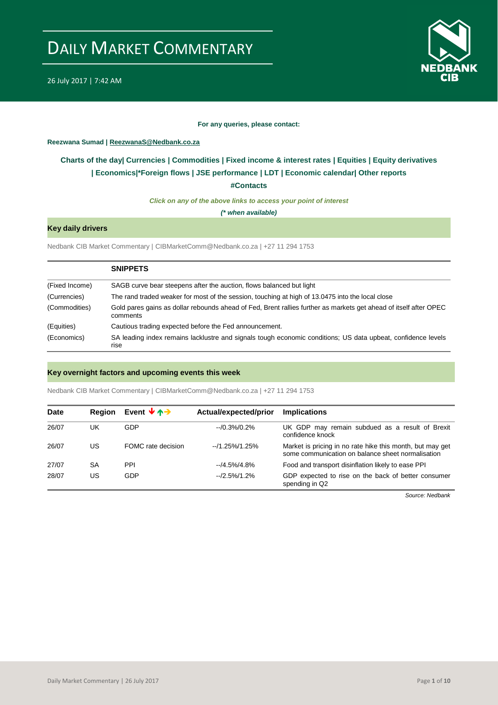

#### **For any queries, please contact:**

#### <span id="page-0-0"></span>**Reezwana Sumad | ReezwanaS@Nedbank.co.za**

### **Charts of the day| [Currencies](#page-2-0) [| Commodities](#page-3-0) | [Fixed income & interest rates](#page-1-0) | [Equities](#page-4-0) | Equity derivatives | [Economics|\\*](#page-6-0)Foreign flows [| JSE performance](#page-4-1) | LDT | [Economic calendar|](#page-7-0) Other reports**

**[#Contacts](#page-8-0)**

*Click on any of the above links to access your point of interest*

*(\* when available)*

#### **Key daily drivers**

Nedbank CIB Market Commentary | CIBMarketComm@Nedbank.co.za | +27 11 294 1753

|                | <b>SNIPPETS</b>                                                                                                               |
|----------------|-------------------------------------------------------------------------------------------------------------------------------|
| (Fixed Income) | SAGB curve bear steepens after the auction, flows balanced but light                                                          |
| (Currencies)   | The rand traded weaker for most of the session, touching at high of 13.0475 into the local close                              |
| (Commodities)  | Gold pares gains as dollar rebounds ahead of Fed, Brent rallies further as markets get ahead of itself after OPEC<br>comments |
| (Equities)     | Cautious trading expected before the Fed announcement.                                                                        |
| (Economics)    | SA leading index remains lacklustre and signals tough economic conditions; US data upbeat, confidence levels<br>rise          |

#### **Key overnight factors and upcoming events this week**

Nedbank CIB Market Commentary | CIBMarketComm@Nedbank.co.za | +27 11 294 1753

| <b>Date</b> | <b>Region</b> | Event $\forall$ $\uparrow$ $\rightarrow$ | Actual/expected/prior | <b>Implications</b>                                                                                            |
|-------------|---------------|------------------------------------------|-----------------------|----------------------------------------------------------------------------------------------------------------|
| 26/07       | UK            | GDP                                      | $-10.3\%/0.2\%$       | UK GDP may remain subdued as a result of Brexit<br>confidence knock                                            |
| 26/07       | US            | FOMC rate decision                       | --/1.25%/1.25%        | Market is pricing in no rate hike this month, but may get<br>some communication on balance sheet normalisation |
| 27/07       | SA            | <b>PPI</b>                               | $-4.5\%/4.8\%$        | Food and transport disinflation likely to ease PPI                                                             |
| 28/07       | US            | GDP                                      | $-2.5\%/1.2\%$        | GDP expected to rise on the back of better consumer<br>spending in Q2                                          |

*Source: Nedbank*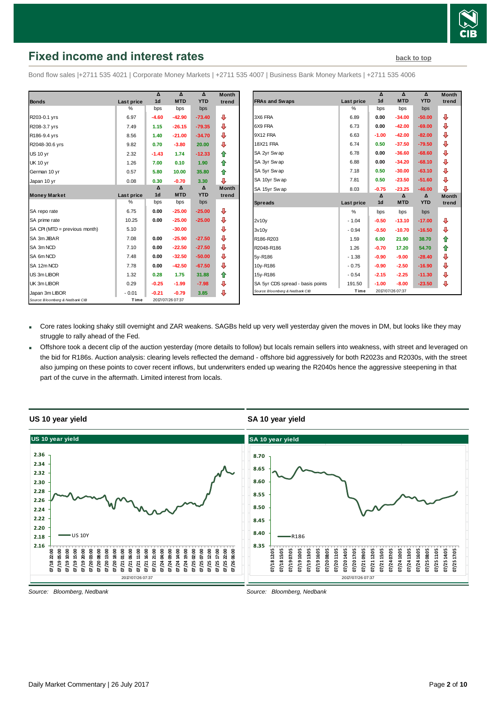

# <span id="page-1-0"></span>**Fixed income and interest rates [back to top](#page-0-0)** back to top

Bond flow sales |+2711 535 4021 | Corporate Money Markets | +2711 535 4007 | Business Bank Money Markets | +2711 535 4006

|                                 |               | Δ              | $\Lambda$        | $\Lambda$  | <b>Month</b> |
|---------------------------------|---------------|----------------|------------------|------------|--------------|
| <b>Bonds</b>                    | Last price    | 1d             | <b>MTD</b>       | <b>YTD</b> | trend        |
|                                 | $\frac{0}{0}$ | bps            | bps              | bps        |              |
| R203-0.1 yrs                    | 6.97          | $-4.60$        | $-42.90$         | $-73.40$   | ⊕            |
| R208-3.7 yrs                    | 7.49          | 1.15           | $-26.15$         | $-79.35$   | ⊕            |
| R186-9.4 yrs                    | 8.56          | 1.40           | $-21.00$         | $-34.70$   | ⊕            |
| R2048-30.6 yrs                  | 9.82          | 0.70           | $-3.80$          | 20.00      | ⊕            |
| <b>US 10 yr</b>                 | 2.32          | $-1.43$        | 1.74             | $-12.33$   | 合            |
| <b>UK 10 yr</b>                 | 1.26          | 7.00           | 0.10             | 1.90       | 合            |
| German 10 yr                    | 0.57          | 5.80           | 10.00            | 35.80      | ⇑            |
| Japan 10 yr                     | 0.08          | 0.30           | $-0.70$          | 3.30       | ⊕            |
|                                 |               | Δ              | Δ                | Δ          | <b>Month</b> |
| <b>Money Market</b>             | Last price    | 1 <sub>d</sub> | <b>MTD</b>       | <b>YTD</b> | trend        |
|                                 | %             | bps            | bps              | bps        |              |
| SA repo rate                    | 6.75          | 0.00           | $-25.00$         | $-25.00$   | ⊕            |
| SA prime rate                   | 10.25         | 0.00           | $-25.00$         | $-25.00$   | ⊕            |
| SA CPI (MTD = previous month)   | 5.10          |                | $-30.00$         |            | ⊕            |
| SA 3m JIBAR                     | 7.08          | 0.00           | $-25.90$         | $-27.50$   | ⊕            |
| SA 3m NCD                       | 7.10          | 0.00           | $-22.50$         | $-27.50$   | ⊕            |
| SA 6m NCD                       | 7.48          | 0.00           | $-32.50$         | $-50.00$   | ⊕            |
| SA 12m NCD                      | 7.78          | 0.00           | $-42.50$         | $-67.50$   | ⊕            |
| US 3m LIBOR                     | 1.32          | 0.28           | 1.75             | 31.88      | ✿            |
| UK 3m LIBOR                     | 0.29          | $-0.25$        | $-1.99$          | $-7.98$    | ⊕            |
| Japan 3m LIBOR                  | $-0.01$       | $-0.21$        | $-0.79$          | 3.85       | ⊕            |
| Source: Bloomberg & Nedbank CIB | Time          |                | 2017/07/26 07:37 |            |              |

| Month |                                                                     |                   | Δ              | Δ                           | Δ          | <b>Month</b> |
|-------|---------------------------------------------------------------------|-------------------|----------------|-----------------------------|------------|--------------|
| trend | <b>FRAs and Swaps</b>                                               | <b>Last price</b> | 1 <sub>d</sub> | <b>MTD</b>                  | <b>YTD</b> | trend        |
|       |                                                                     | %                 | bps            | bps                         | bps        |              |
| ⊕     | 3X6 FRA                                                             | 6.89              | 0.00           | $-34.00$                    | $-50.00$   | ⊕            |
| ⊕     | 6X9 FRA                                                             | 6.73              | 0.00           | $-42.00$                    | $-69.00$   | ⊕            |
| ⊕     | 9X12 FRA                                                            | 6.63              | $-1.00$        | $-42.00$                    | $-82.00$   | ⊕            |
| ⊕     | <b>18X21 FRA</b>                                                    | 6.74              | 0.50           | $-37.50$                    | $-79.50$   | ⊕            |
| 合     | SA 2yr Swap                                                         | 6.78              | 0.00           | $-36.60$                    | $-68.60$   | ⊕            |
| 合     | SA 3yr Swap                                                         | 6.88              | 0.00           | $-34.20$                    | $-68.10$   | ₽            |
| ✿     | SA 5yr Swap                                                         | 7.18              | 0.50           | $-30.00$                    | $-63.10$   | ⊕            |
| ⊕     | SA 10yr Swap                                                        | 7.81              | 0.50           | $-23.50$                    | $-51.60$   | ⊕            |
| Month | SA 15yr Swap                                                        | 8.03              | $-0.75$        | $-23.25$                    | $-46.00$   | ⊕            |
| trend |                                                                     |                   | Δ              | $\Delta$                    | Δ          | <b>Month</b> |
|       | <b>Spreads</b>                                                      | Last price        | 1 <sub>d</sub> | <b>MTD</b>                  | <b>YTD</b> | trend        |
| ⊕     |                                                                     | %                 | bps            | bps                         | bps        |              |
| ⊕     | 2v10v                                                               | $-1.04$           | $-0.50$        | $-13.10$                    | $-17.00$   | ⊕            |
| ⊕     | 3v10v                                                               | $-0.94$           | $-0.50$        | $-10.70$                    | $-16.50$   | ⇩            |
| ⊕     | R186-R203                                                           | 1.59              | 6.00           | 21.90                       | 38.70      | 合            |
| ⊕     | R2048-R186                                                          | 1.26              | $-0.70$        | 17.20                       | 54.70      | 合            |
| ⊕     | 5y-R186                                                             | $-1.38$           | $-0.90$        | $-9.00$                     | $-28.40$   | ⇩            |
| ⊕     | 10y-R186                                                            | $-0.75$           | $-0.90$        | $-2.50$                     | $-16.90$   | ⊕            |
| ⇮     | 15y-R186                                                            | $-0.54$           | $-2.15$        | $-2.25$                     | $-11.30$   | ⊕            |
|       |                                                                     |                   |                |                             |            |              |
| ⊕     | SA 5yr CDS spread - basis points<br>Source: Bloomberg & Nedbank CIB | 191.50<br>Time    | $-1.00$        | $-8.00$<br>2017/07/26 07:37 | $-23.50$   | ⊕            |

- Core rates looking shaky still overnight and ZAR weakens. SAGBs held up very well yesterday given the moves in DM, but looks like they may struggle to rally ahead of the Fed.
- Offshore took a decent clip of the auction yesterday (more details to follow) but locals remain sellers into weakness, with street and leveraged on the bid for R186s. Auction analysis: clearing levels reflected the demand - offshore bid aggressively for both R2023s and R2030s, with the street also jumping on these points to cover recent inflows, but underwriters ended up wearing the R2040s hence the aggressive steepening in that part of the curve in the aftermath. Limited interest from locals.



**SA 10 year yield**



*Source: Bloomberg, Nedbank*

*Source: Bloomberg, Nedbank*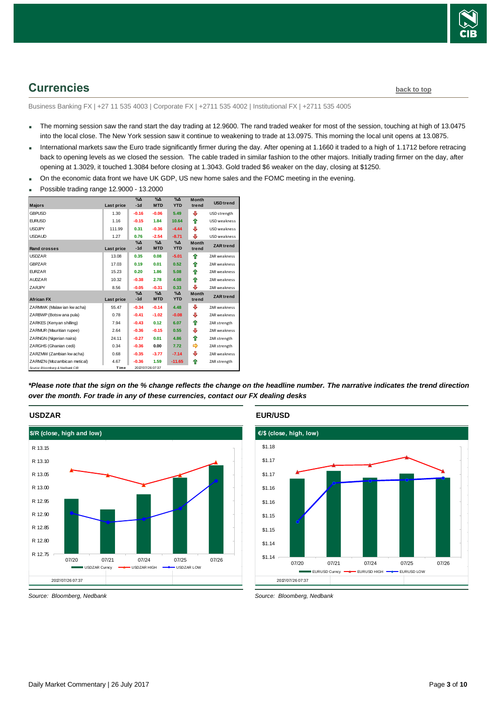

# <span id="page-2-0"></span>**Currencies [back to top](#page-0-0)**

Business Banking FX | +27 11 535 4003 | Corporate FX | +2711 535 4002 | Institutional FX | +2711 535 4005

- The morning session saw the rand start the day trading at 12.9600. The rand traded weaker for most of the session, touching at high of 13.0475 into the local close. The New York session saw it continue to weakening to trade at 13.0975. This morning the local unit opens at 13.0875.
- International markets saw the Euro trade significantly firmer during the day. After opening at 1.1660 it traded to a high of 1.1712 before retracing back to opening levels as we closed the session. The cable traded in similar fashion to the other majors. Initially trading firmer on the day, after opening at 1.3029, it touched 1.3084 before closing at 1.3043. Gold traded \$6 weaker on the day, closing at \$1250.
- On the economic data front we have UK GDP, US new home sales and the FOMC meeting in the evening.
- Possible trading range 12.9000 13.2000

|                                 |            | $\%$ $\Delta$        | $\Delta_0$                  | $\Delta_0$                  | <b>Month</b>          | <b>USD</b> trend    |
|---------------------------------|------------|----------------------|-----------------------------|-----------------------------|-----------------------|---------------------|
| <b>Majors</b>                   | Last price | $-1d$                | <b>MTD</b>                  | <b>YTD</b>                  | trend                 |                     |
| <b>GBPUSD</b>                   | 1.30       | $-0.16$              | $-0.06$                     | 5.49                        | ⊕                     | USD strength        |
| <b>EURUSD</b>                   | 1.16       | $-0.15$              | 1.84                        | 10.64                       | ⇑                     | USD weakness        |
| <b>USDJPY</b>                   | 111.99     | 0.31                 | $-0.36$                     | $-4.44$                     | ⊕                     | USD weakness        |
| <b>USDAUD</b>                   | 1.27       | 0.76                 | $-2.54$                     | $-8.71$                     | ⊕                     | USD weakness        |
| <b>Rand crosses</b>             | Last price | $\% \Delta$<br>$-1d$ | %Δ<br><b>MTD</b>            | $\%$ $\Delta$<br><b>YTD</b> | <b>Month</b><br>trend | <b>ZAR</b> trend    |
| <b>USDZAR</b>                   | 13.08      | 0.35                 | 0.08                        | $-5.01$                     | ♠                     | <b>ZAR</b> weakness |
| <b>GBPZAR</b>                   | 17.03      | 0.19                 | 0.01                        | 0.52                        | ⇑                     | ZAR weakness        |
| <b>FURZAR</b>                   | 15.23      | 0.20                 | 1.86                        | 5.08                        | ♠                     | ZAR weakness        |
| <b>AUDZAR</b>                   | 10.32      | $-0.38$              | 2.78                        | 4.08                        | ⇑                     | <b>ZAR</b> weakness |
| ZARJPY                          | 8.56       | $-0.05$              | $-0.31$                     | 0.33                        | ⊕                     | ZAR weakness        |
| <b>African FX</b>               | Last price | $\% \Delta$<br>$-1d$ | $\%$ $\Delta$<br><b>MTD</b> | $\Delta$<br><b>YTD</b>      | <b>Month</b><br>trend | <b>ZAR</b> trend    |
| ZARMWK (Malaw ian kw acha)      | 55.47      | $-0.34$              | $-0.14$                     | 4.48                        | ⊕                     | ZAR weakness        |
| ZARBWP (Botsw ana pula)         | 0.78       | $-0.41$              | $-1.02$                     | $-0.08$                     | ⊕                     | <b>ZAR</b> weakness |
| ZARKES (Kenyan shilling)        | 7.94       | $-0.43$              | 0.12                        | 6.07                        | ⇑                     | ZAR strength        |
| ZARMUR (Mauritian rupee)        | 2.64       | $-0.36$              | $-0.15$                     | 0.55                        | ⊕                     | <b>ZAR</b> weakness |
| ZARNGN (Nigerian naira)         | 24.11      | $-0.27$              | 0.01                        | 4.86                        | ⇑                     | ZAR strength        |
| ZARGHS (Ghanian cedi)           | 0.34       | $-0.36$              | 0.00                        | 7.72                        | ⇛                     | ZAR strength        |
| ZARZMW (Zambian kw acha)        | 0.68       | $-0.35$              | $-3.77$                     | $-7.14$                     | ⊕                     | ZAR weakness        |
| ZARMZN (Mozambican metical)     | 4.67       | $-0.36$              | 1.59                        | $-11.65$                    | ⇑                     | ZAR strength        |
| Source: Bloomberg & Nedbank CIB | Time       |                      | 2017/07/26 07:37            |                             |                       |                     |

*\*Please note that the sign on the % change reflects the change on the headline number. The narrative indicates the trend direction over the month. For trade in any of these currencies, contact our FX dealing desks*

#### **USDZAR**



*Source: Bloomberg, Nedbank*

#### **EUR/USD**



*Source: Bloomberg, Nedbank*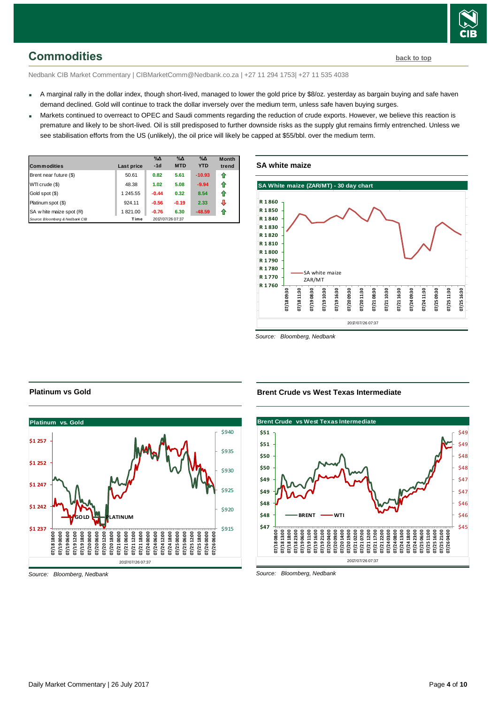# <span id="page-3-0"></span>**Commodities [back to top](#page-0-0)**

Nedbank CIB Market Commentary | CIBMarketComm@Nedbank.co.za | +27 11 294 1753| +27 11 535 4038

- A marginal rally in the dollar index, though short-lived, managed to lower the gold price by \$8/oz. yesterday as bargain buying and safe haven demand declined. Gold will continue to track the dollar inversely over the medium term, unless safe haven buying surges.
- Markets continued to overreact to OPEC and Saudi comments regarding the reduction of crude exports. However, we believe this reaction is premature and likely to be short-lived. Oil is still predisposed to further downside risks as the supply glut remains firmly entrenched. Unless we see stabilisation efforts from the US (unlikely), the oil price will likely be capped at \$55/bbl. over the medium term.

| <b>Commodities</b>              | Last price | $\%$ $\Delta$<br>$-1d$ | $\%$ $\Delta$<br><b>MTD</b> | $\%$ $\Delta$<br><b>YTD</b> | <b>Month</b><br>trend |
|---------------------------------|------------|------------------------|-----------------------------|-----------------------------|-----------------------|
| Brent near future (\$)          | 50.61      | 0.82                   | 5.61                        | $-10.93$                    | ⇑                     |
| WTI crude (\$)                  | 48.38      | 1.02                   | 5.08                        | $-9.94$                     | ⇑                     |
| Gold spot (\$)                  | 1 245.55   | $-0.44$                | 0.32                        | 8.54                        | ⊕                     |
| Platinum spot (\$)              | 924.11     | $-0.56$                | $-0.19$                     | 2.33                        | л                     |
| SA w hite maize spot (R)        | 1821.00    | $-0.76$                | 6.30                        | $-48.59$                    |                       |
| Source: Bloomberg & Nedbank CIB | Time       |                        | 2017/07/26 07:37            |                             |                       |





*Source: Bloomberg, Nedbank*



#### **Brent Crude vs West Texas Intermediate**



*Source: Bloomberg, Nedbank*

### **Platinum vs Gold**

*Source: Bloomberg, Nedbank*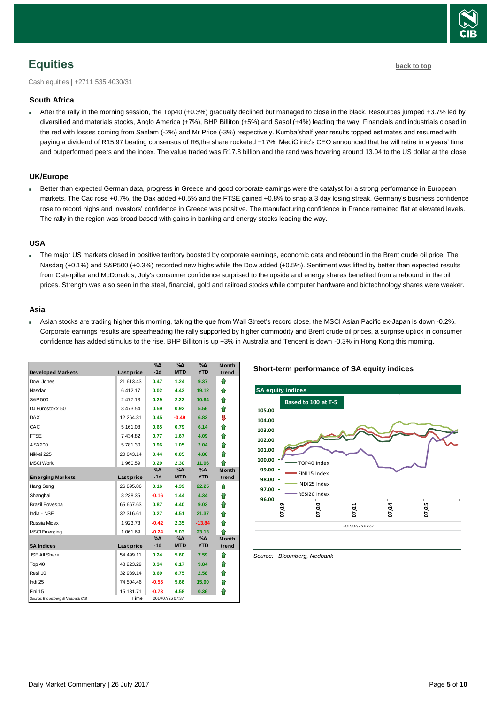

# <span id="page-4-0"></span>**Equities [back to top](#page-0-0)**

Cash equities | +2711 535 4030/31

#### **South Africa**

 After the rally in the morning session, the Top40 (+0.3%) gradually declined but managed to close in the black. Resources jumped +3.7% led by diversified and materials stocks, Anglo America (+7%), BHP Billiton (+5%) and Sasol (+4%) leading the way. Financials and industrials closed in the red with losses coming from Sanlam (-2%) and Mr Price (-3%) respectively. Kumba'shalf year results topped estimates and resumed with paying a dividend of R15.97 beating consensus of R6,the share rocketed +17%. MediClinic's CEO announced that he will retire in a years' time and outperformed peers and the index. The value traded was R17.8 billion and the rand was hovering around 13.04 to the US dollar at the close.

#### **UK/Europe**

 Better than expected German data, progress in Greece and good corporate earnings were the catalyst for a strong performance in European markets. The Cac rose +0.7%, the Dax added +0.5% and the FTSE gained +0.8% to snap a 3 day losing streak. Germany's business confidence rose to record highs and investors' confidence in Greece was positive. The manufacturing confidence in France remained flat at elevated levels. The rally in the region was broad based with gains in banking and energy stocks leading the way.

#### **USA**

 The major US markets closed in positive territory boosted by corporate earnings, economic data and rebound in the Brent crude oil price. The Nasdaq (+0.1%) and S&P500 (+0.3%) recorded new highs while the Dow added (+0.5%). Sentiment was lifted by better than expected results from Caterpillar and McDonalds, July's consumer confidence surprised to the upside and energy shares benefited from a rebound in the oil prices. Strength was also seen in the steel, financial, gold and railroad stocks while computer hardware and biotechnology shares were weaker.

#### **Asia**

 Asian stocks are trading higher this morning, taking the que from Wall Street's record close, the MSCI Asian Pacific ex-Japan is down -0.2%. Corporate earnings results are spearheading the rally supported by higher commodity and Brent crude oil prices, a surprise uptick in consumer confidence has added stimulus to the rise. BHP Billiton is up +3% in Australia and Tencent is down -0.3% in Hong Kong this morning.

| <b>Developed Markets</b>        | Last price    | $\%$ $\Delta$<br>$-1d$ | $\%$<br><b>MTD</b> | $\% \Lambda$<br><b>YTD</b> | <b>Month</b><br>trend |
|---------------------------------|---------------|------------------------|--------------------|----------------------------|-----------------------|
| Dow Jones                       | 21 613.43     | 0.47                   | 1.24               | 9.37                       | ⇑                     |
| Nasdag                          | 6412.17       | 0.02                   | 4.43               | 19.12                      | ⇑                     |
| S&P 500                         | 2477.13       | 0.29                   | 2.22               | 10.64                      | 合                     |
| DJ Eurostoxx 50                 | 3473.54       | 0.59                   | 0.92               | 5.56                       | 合                     |
| <b>DAX</b>                      | 12 264.31     | 0.45                   | $-0.49$            | 6.82                       | ⊕                     |
| CAC                             | 5 161.08      | 0.65                   | 0.79               | 6.14                       | 合                     |
| <b>FTSE</b>                     | 7 434.82      | 0.77                   | 1.67               | 4.09                       | 合                     |
| ASX200                          | 5781.30       | 0.96                   | 1.05               | 2.04                       | 合                     |
| Nikkei 225                      | 20 043.14     | 0.44                   | 0.05               | 4.86                       | 合                     |
| <b>MSCI World</b>               | 1 960.59      | 0.29                   | 2.30               | 11.96                      | 合                     |
|                                 |               | $\% \Delta$<br>$-1d$   | %Δ<br><b>MTD</b>   | %Δ<br><b>YTD</b>           | <b>Month</b><br>trend |
| <b>Emerging Markets</b>         | Last price    |                        |                    |                            |                       |
| Hang Seng                       | 26 895.86     | 0.16                   | 4.39               | 22.25                      | ⇑                     |
| Shanghai                        | 3 2 3 8 . 3 5 | $-0.16$                | 1.44               | 4.34                       | ⇑                     |
| Brazil Bovespa                  | 65 667.63     | 0.87                   | 4.40               | 9.03                       | 合                     |
| India - NSE                     | 32 316.61     | 0.27                   | 4.51               | 21.37                      | ⇮                     |
| Russia Micex                    | 1923.73       | $-0.42$                | 2.35               | $-13.84$                   | ♠                     |
| <b>MSCI Emerging</b>            | 1 061.69      | $-0.24$                | 5.03               | 23.13                      | ⇑                     |
|                                 |               | %Δ                     | %Δ                 | %∆                         | <b>Month</b>          |
| <b>SA Indices</b>               | Last price    | $-1d$                  | <b>MTD</b>         | <b>YTD</b>                 | trend                 |
| <b>JSE All Share</b>            | 54 499.11     | 0.24                   | 5.60               | 7.59                       | ♠                     |
| Top 40                          | 48 223.29     | 0.34                   | 6.17               | 9.84                       | ♠                     |
| Resi 10                         | 32 939.14     | 3.69                   | 8.75               | 2.58                       | ⇮                     |
| Indi 25                         | 74 504.46     | $-0.55$                | 5.66               | 15.90                      | 合                     |
| Fini 15                         | 15 131.71     | $-0.73$                | 4.58               | 0.36                       | ⇑                     |
| Source: Bloomberg & Nedbank CIB | Time          |                        | 2017/07/26 07:37   |                            |                       |

**Short-term performance of SA equity indices**



<span id="page-4-1"></span>*Source: Bloomberg, Nedbank*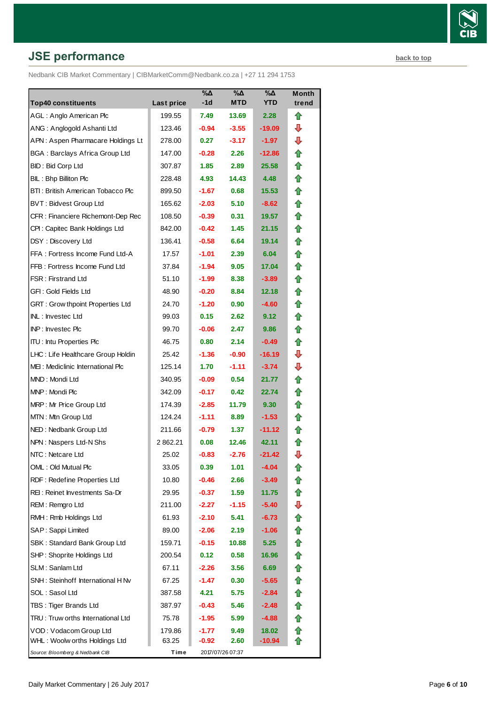# **JSE performance [back to top](#page-0-0) back to top**

Nedbank CIB Market Commentary | CIBMarketComm@Nedbank.co.za | +27 11 294 1753

| <b>Top40 constituents</b>               | Last price | $\% \Delta$<br>-1d | %Δ<br><b>MTD</b> | %Δ<br><b>YTD</b> | Month<br>trend |
|-----------------------------------------|------------|--------------------|------------------|------------------|----------------|
| AGL: Anglo American Plc                 | 199.55     | 7.49               | 13.69            | 2.28             | ⇑              |
| ANG: Anglogold Ashanti Ltd              | 123.46     | $-0.94$            | $-3.55$          | -19.09           | ⊕              |
| APN: Aspen Pharmacare Holdings Lt       | 278.00     | 0.27               | $-3.17$          | -1.97            | ⊕              |
| <b>BGA: Barclays Africa Group Ltd</b>   | 147.00     | $-0.28$            | 2.26             | -12.86           | ⇑              |
| BID: Bid Corp Ltd                       | 307.87     | 1.85               | 2.89             | 25.58            | ⇑              |
| BIL: Bhp Billiton Plc                   | 228.48     | 4.93               | 14.43            | 4.48             | ⇑              |
| BTI: British American Tobacco Plc       | 899.50     | $-1.67$            | 0.68             | 15.53            | ⇑              |
| <b>BVT: Bidvest Group Ltd</b>           | 165.62     | $-2.03$            | 5.10             | $-8.62$          | ⇑              |
| CFR : Financiere Richemont-Dep Rec      | 108.50     | $-0.39$            | 0.31             | 19.57            | ⇑              |
| CPI: Capitec Bank Holdings Ltd          | 842.00     | $-0.42$            | 1.45             | 21.15            | ⇑              |
| DSY: Discovery Ltd                      | 136.41     | $-0.58$            | 6.64             | 19.14            | n              |
| FFA: Fortress Income Fund Ltd-A         | 17.57      | $-1.01$            | 2.39             | 6.04             | ⇑              |
| FFB: Fortress Income Fund Ltd           | 37.84      | $-1.94$            | 9.05             | 17.04            | ⇑              |
| <b>FSR: Firstrand Ltd</b>               | 51.10      | $-1.99$            | 8.38             | $-3.89$          | ⇑              |
| GFI: Gold Fields Ltd                    | 48.90      | $-0.20$            | 8.84             | 12.18            | ⇑              |
| <b>GRT: Grow thpoint Properties Ltd</b> | 24.70      | $-1.20$            | 0.90             | -4.60            | ⇑              |
| <b>INL: Investec Ltd</b>                | 99.03      | 0.15               | 2.62             | 9.12             | ⇑              |
| <b>INP:</b> Invested Plc                | 99.70      | $-0.06$            | 2.47             | 9.86             | ⇑              |
| <b>ITU:</b> Intu Properties Plc         | 46.75      | 0.80               | 2.14             | $-0.49$          | ⇑              |
| LHC: Life Healthcare Group Holdin       | 25.42      | $-1.36$            | $-0.90$          | -16.19           | ⊕              |
| MEI: Mediclinic International Plc       | 125.14     | 1.70               | $-1.11$          | $-3.74$          | ⊕              |
| MND: Mondi Ltd                          | 340.95     | $-0.09$            | 0.54             | 21.77            | ⇑              |
| MNP: Mondi Plc                          | 342.09     | $-0.17$            | 0.42             | 22.74            | ⇑              |
| MRP: Mr Price Group Ltd                 | 174.39     | $-2.85$            | 11.79            | 9.30             | ⇑              |
| MTN: Mtn Group Ltd                      | 124.24     | $-1.11$            | 8.89             | $-1.53$          | ⇑              |
| NED: Nedbank Group Ltd                  | 211.66     | $-0.79$            | 1.37             | -11.12           | ⇑              |
| NPN: Naspers Ltd-N Shs                  | 2862.21    | 0.08               | 12.46            | 42.11            | Ħ              |
| NTC: Netcare Ltd                        | 25.02      | $-0.83$            | $-2.76$          | -21.42           | ⇩              |
| OML: Old Mutual Plc                     | 33.05      | 0.39               | 1.01             | -4.04            | fr             |
| RDF: Redefine Properties Ltd            | 10.80      | $-0.46$            | 2.66             | $-3.49$          |                |
| REI: Reinet Investments Sa-Dr           | 29.95      | $-0.37$            | 1.59             | 11.75            |                |
| REM: Remgro Ltd                         | 211.00     | $-2.27$            | $-1.15$          | $-5.40$          | ⇩              |
| RMH: Rmb Holdings Ltd                   | 61.93      | $-2.10$            | 5.41             | -6.73            |                |
| SAP: Sappi Limited                      | 89.00      | $-2.06$            | 2.19             | $-1.06$          | ⇮              |
| SBK: Standard Bank Group Ltd            | 159.71     | $-0.15$            | 10.88            | 5.25             | 合              |
| SHP: Shoprite Holdings Ltd              | 200.54     | 0.12               | 0.58             | 16.96            | ⇮              |
| SLM: Sanlam Ltd                         | 67.11      | $-2.26$            | 3.56             | 6.69             | ⇑              |
| SNH: Steinhoff International H Nv       | 67.25      | $-1.47$            | 0.30             | $-5.65$          | ⇑              |
| SOL: Sasol Ltd                          | 387.58     | 4.21               | 5.75             | $-2.84$          | ⇑              |
| TBS: Tiger Brands Ltd                   | 387.97     | $-0.43$            | 5.46             | $-2.48$          | €              |
| TRU: Truw orths International Ltd       | 75.78      | $-1.95$            | 5.99             | $-4.88$          | €              |
| VOD: Vodacom Group Ltd                  | 179.86     | $-1.77$            | 9.49             | 18.02            | ⇑              |
| WHL: Woolw orths Holdings Ltd           | 63.25      | $-0.92$            | 2.60             | -10.94           |                |
| Source: Bloomberg & Nedbank CIB         | Time       |                    | 2017/07/26 07:37 |                  |                |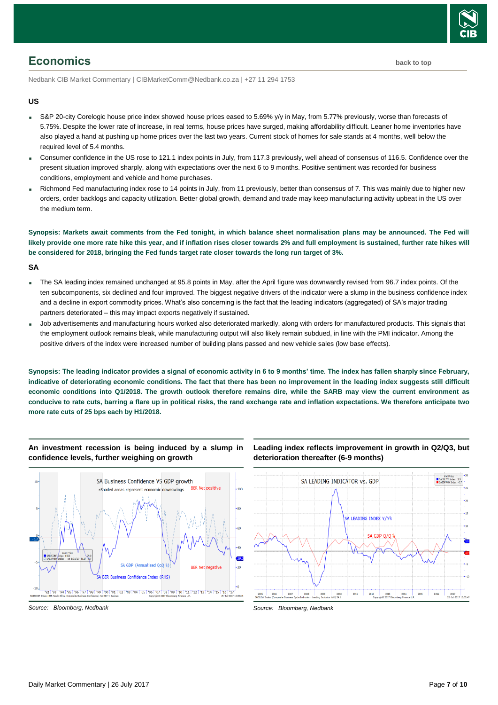

### <span id="page-6-0"></span>**Economics [back to top](#page-0-0)**

Nedbank CIB Market Commentary | CIBMarketComm@Nedbank.co.za | +27 11 294 1753

#### **US**

- S&P 20-city Corelogic house price index showed house prices eased to 5.69% y/y in May, from 5.77% previously, worse than forecasts of 5.75%. Despite the lower rate of increase, in real terms, house prices have surged, making affordability difficult. Leaner home inventories have also played a hand at pushing up home prices over the last two years. Current stock of homes for sale stands at 4 months, well below the required level of 5.4 months.
- Consumer confidence in the US rose to 121.1 index points in July, from 117.3 previously, well ahead of consensus of 116.5. Confidence over the present situation improved sharply, along with expectations over the next 6 to 9 months. Positive sentiment was recorded for business conditions, employment and vehicle and home purchases.
- Richmond Fed manufacturing index rose to 14 points in July, from 11 previously, better than consensus of 7. This was mainly due to higher new orders, order backlogs and capacity utilization. Better global growth, demand and trade may keep manufacturing activity upbeat in the US over the medium term.

**Synopsis: Markets await comments from the Fed tonight, in which balance sheet normalisation plans may be announced. The Fed will likely provide one more rate hike this year, and if inflation rises closer towards 2% and full employment is sustained, further rate hikes will be considered for 2018, bringing the Fed funds target rate closer towards the long run target of 3%.** 

#### **SA**

- The SA leading index remained unchanged at 95.8 points in May, after the April figure was downwardly revised from 96.7 index points. Of the ten subcomponents, six declined and four improved. The biggest negative drivers of the indicator were a slump in the business confidence index and a decline in export commodity prices. What's also concerning is the fact that the leading indicators (aggregated) of SA's major trading partners deteriorated – this may impact exports negatively if sustained.
- Job advertisements and manufacturing hours worked also deteriorated markedly, along with orders for manufactured products. This signals that the employment outlook remains bleak, while manufacturing output will also likely remain subdued, in line with the PMI indicator. Among the positive drivers of the index were increased number of building plans passed and new vehicle sales (low base effects).

**Synopsis: The leading indicator provides a signal of economic activity in 6 to 9 months' time. The index has fallen sharply since February, indicative of deteriorating economic conditions. The fact that there has been no improvement in the leading index suggests still difficult economic conditions into Q1/2018. The growth outlook therefore remains dire, while the SARB may view the current environment as conducive to rate cuts, barring a flare up in political risks, the rand exchange rate and inflation expectations. We therefore anticipate two more rate cuts of 25 bps each by H1/2018.**

#### **An investment recession is being induced by a slump in confidence levels, further weighing on growth**



#### **Leading index reflects improvement in growth in Q2/Q3, but deterioration thereafter (6-9 months)**



*Source: Bloomberg, Nedbank*

*Source: Bloomberg, Nedbank*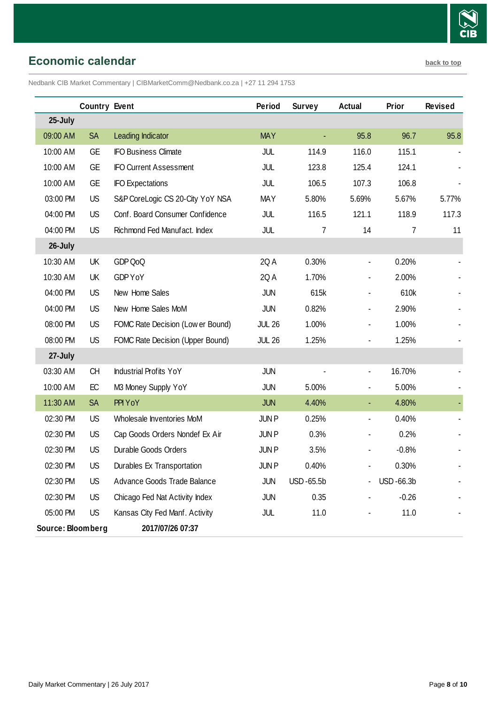

<span id="page-7-0"></span>**Economic calendar [back to top](#page-0-0)** 

Nedbank CIB Market Commentary | CIBMarketComm@Nedbank.co.za | +27 11 294 1753

|                   | <b>Country Event</b> |                                   | Period        | <b>Survey</b> | Actual                       | Prior     | <b>Revised</b> |
|-------------------|----------------------|-----------------------------------|---------------|---------------|------------------------------|-----------|----------------|
| 25-July           |                      |                                   |               |               |                              |           |                |
| 09:00 AM          | <b>SA</b>            | Leading Indicator                 | <b>MAY</b>    |               | 95.8                         | 96.7      | 95.8           |
| 10:00 AM          | <b>GE</b>            | <b>IFO Business Climate</b>       | JUL           | 114.9         | 116.0                        | 115.1     |                |
| 10:00 AM          | <b>GE</b>            | <b>IFO Current Assessment</b>     | JUL           | 123.8         | 125.4                        | 124.1     |                |
| 10:00 AM          | <b>GE</b>            | <b>IFO Expectations</b>           | JUL           | 106.5         | 107.3                        | 106.8     |                |
| 03:00 PM          | <b>US</b>            | S&P CoreLogic CS 20-City YoY NSA  | <b>MAY</b>    | 5.80%         | 5.69%                        | 5.67%     | 5.77%          |
| 04:00 PM          | <b>US</b>            | Conf. Board Consumer Confidence   | JUL           | 116.5         | 121.1                        | 118.9     | 117.3          |
| 04:00 PM          | <b>US</b>            | Richmond Fed Manufact. Index      | JUL           | 7             | 14                           | 7         | 11             |
| 26-July           |                      |                                   |               |               |                              |           |                |
| 10:30 AM          | UK                   | GDP QoQ                           | 2QA           | 0.30%         | ٠                            | 0.20%     |                |
| 10:30 AM          | UK                   | GDP YoY                           | 2QA           | 1.70%         |                              | 2.00%     |                |
| 04:00 PM          | <b>US</b>            | New Home Sales                    | <b>JUN</b>    | 615k          |                              | 610k      |                |
| 04:00 PM          | <b>US</b>            | New Home Sales MoM                | <b>JUN</b>    | 0.82%         | $\qquad \qquad \blacksquare$ | 2.90%     |                |
| 08:00 PM          | <b>US</b>            | FOMC Rate Decision (Low er Bound) | <b>JUL 26</b> | 1.00%         | ۰                            | 1.00%     |                |
| 08:00 PM          | <b>US</b>            | FOMC Rate Decision (Upper Bound)  | <b>JUL 26</b> | 1.25%         |                              | 1.25%     |                |
| 27-July           |                      |                                   |               |               |                              |           |                |
| 03:30 AM          | <b>CH</b>            | <b>Industrial Profits YoY</b>     | <b>JUN</b>    |               | $\blacksquare$               | 16.70%    |                |
| 10:00 AM          | EC                   | M3 Money Supply YoY               | <b>JUN</b>    | 5.00%         | $\qquad \qquad \blacksquare$ | 5.00%     |                |
| 11:30 AM          | <b>SA</b>            | PPI YoY                           | <b>JUN</b>    | 4.40%         | ÷                            | 4.80%     |                |
| 02:30 PM          | <b>US</b>            | Wholesale Inventories MoM         | <b>JUNP</b>   | 0.25%         | ٠                            | 0.40%     |                |
| 02:30 PM          | <b>US</b>            | Cap Goods Orders Nondef Ex Air    | <b>JUNP</b>   | 0.3%          | $\qquad \qquad \blacksquare$ | 0.2%      |                |
| 02:30 PM          | <b>US</b>            | Durable Goods Orders              | <b>JUNP</b>   | 3.5%          |                              | $-0.8%$   |                |
| 02:30 PM          | US                   | Durables Ex Transportation        | JUN P         | 0.40%         |                              | 0.30%     |                |
| 02:30 PM          | <b>US</b>            | Advance Goods Trade Balance       | JUN           | USD-65.5b     |                              | USD-66.3b |                |
| 02:30 PM          | <b>US</b>            | Chicago Fed Nat Activity Index    | <b>JUN</b>    | 0.35          |                              | $-0.26$   |                |
| 05:00 PM          | <b>US</b>            | Kansas City Fed Manf. Activity    | JUL           | 11.0          |                              | 11.0      |                |
| Source: Bloomberg |                      | 2017/07/26 07:37                  |               |               |                              |           |                |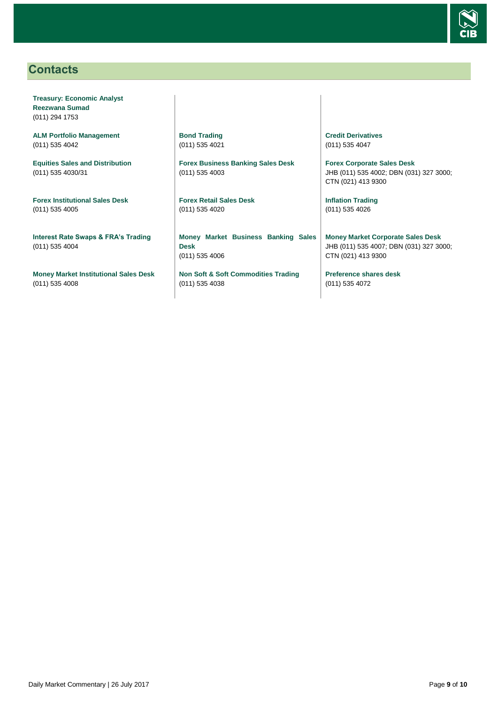

## <span id="page-8-0"></span>**Contacts**

**Treasury: Economic Analyst Reezwana Sumad** (011) 294 1753

**ALM Portfolio Management** (011) 535 4042

**Equities Sales and Distribution** (011) 535 4030/31

**Forex Institutional Sales Desk** (011) 535 4005

**Interest Rate Swaps & FRA's Trading** (011) 535 4004

**Money Market Institutional Sales Desk** (011) 535 4008

**Bond Trading** (011) 535 4021

**Forex Business Banking Sales Desk** (011) 535 4003

**Forex Retail Sales Desk** (011) 535 4020

**Money Market Business Banking Sales Desk** (011) 535 4006

**Non Soft & Soft Commodities Trading** (011) 535 4038

**Credit Derivatives**  (011) 535 4047

**Forex Corporate Sales Desk** JHB (011) 535 4002; DBN (031) 327 3000; CTN (021) 413 9300

**Inflation Trading** (011) 535 4026

**Money Market Corporate Sales Desk** JHB (011) 535 4007; DBN (031) 327 3000; CTN (021) 413 9300

**Preference shares desk** (011) 535 4072